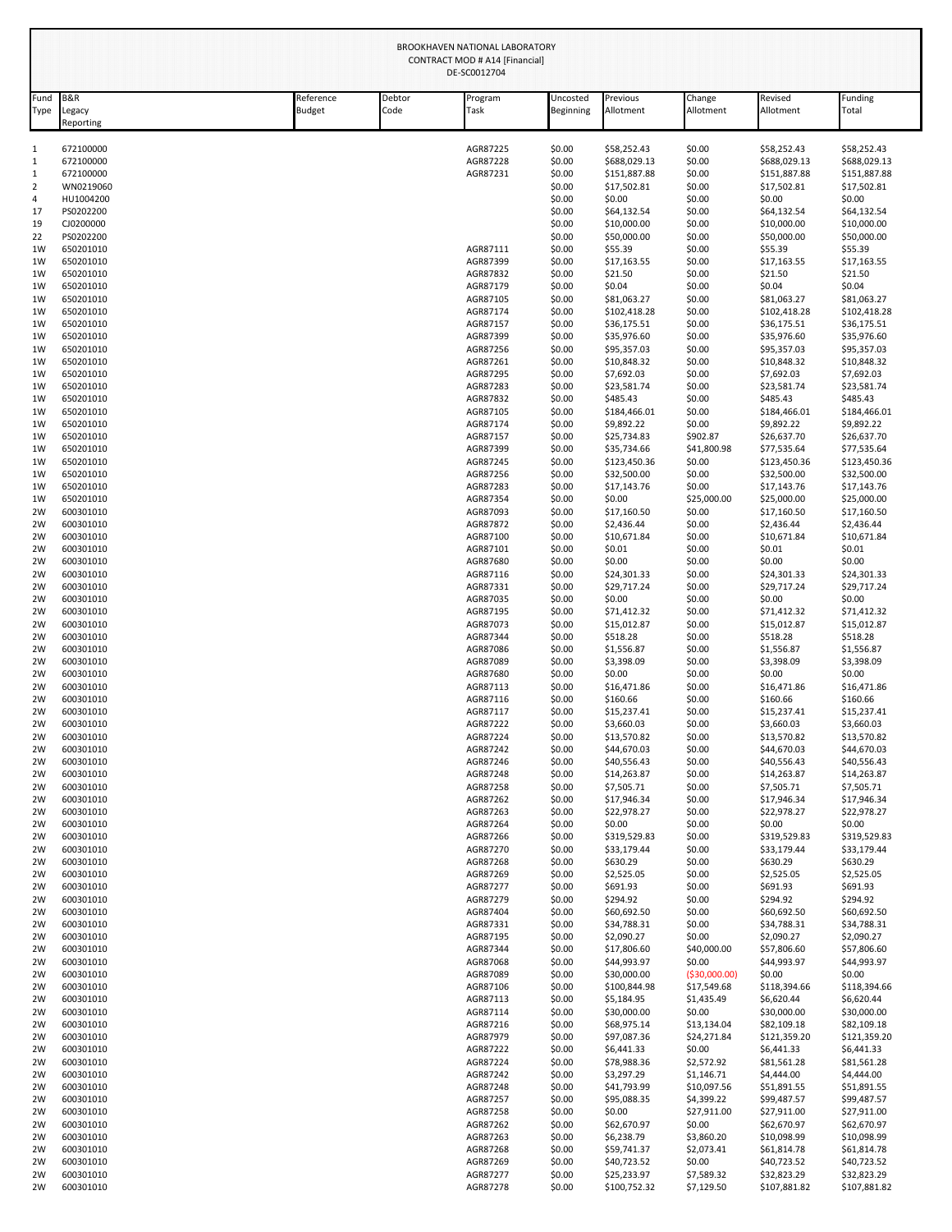|                     |                            |                            |                | BROOKHAVEN NATIONAL LABORATORY<br><b>CONTRACT MOD # A14 [Financial]</b><br>DE-SC0012704 |                       |                             |                           |                             |                              |
|---------------------|----------------------------|----------------------------|----------------|-----------------------------------------------------------------------------------------|-----------------------|-----------------------------|---------------------------|-----------------------------|------------------------------|
| Fund<br>Type        | B&R<br>Legacy<br>Reporting | Reference<br><b>Budget</b> | Debtor<br>Code | Program<br>Task                                                                         | Uncosted<br>Beginning | Previous<br>Allotment       | Change<br>Allotment       | Revised<br>Allotment        | unding <sup>-</sup><br>Total |
| 1                   | 672100000                  |                            |                | AGR87225                                                                                | \$0.00                | \$58,252.43                 | \$0.00                    | \$58,252.43                 | \$58,252.43                  |
| $\mathbf{1}$        | 672100000                  |                            |                | AGR87228                                                                                | \$0.00                | \$688,029.13                | \$0.00                    | \$688,029.13                | \$688,029.13                 |
| $\mathbf{1}$        | 672100000                  |                            |                | AGR87231                                                                                | \$0.00                | \$151,887.88                | \$0.00                    | \$151,887.88                | \$151,887.88                 |
| $\overline{2}$<br>4 | WN0219060<br>HU1004200     |                            |                |                                                                                         | \$0.00<br>\$0.00      | \$17,502.81<br>\$0.00       | \$0.00<br>\$0.00          | \$17,502.81<br>\$0.00       | \$17,502.81<br>\$0.00        |
| 17                  | PS0202200                  |                            |                |                                                                                         | \$0.00                | \$64,132.54                 | \$0.00                    | \$64,132.54                 | \$64,132.54                  |
| 19                  | CJ0200000                  |                            |                |                                                                                         | \$0.00                | \$10,000.00                 | \$0.00                    | \$10,000.00                 | \$10,000.00                  |
| 22                  | PS0202200                  |                            |                |                                                                                         | \$0.00                | \$50,000.00                 | \$0.00                    | \$50,000.00                 | \$50,000.00                  |
| 1W<br>1W            | 650201010<br>650201010     |                            |                | AGR87111<br>AGR87399                                                                    | \$0.00<br>\$0.00      | \$55.39<br>\$17,163.55      | \$0.00<br>\$0.00          | \$55.39<br>\$17,163.55      | \$55.39<br>\$17,163.55       |
| 1W                  | 650201010                  |                            |                | AGR87832                                                                                | \$0.00                | \$21.50                     | \$0.00                    | \$21.50                     | \$21.50                      |
| 1W                  | 650201010                  |                            |                | AGR87179                                                                                | \$0.00                | \$0.04                      | \$0.00                    | \$0.04                      | \$0.04                       |
| 1W                  | 650201010                  |                            |                | AGR87105                                                                                | \$0.00                | \$81,063.27                 | \$0.00                    | \$81,063.27                 | \$81,063.27                  |
| 1W<br>1W            | 650201010<br>650201010     |                            |                | AGR87174<br>AGR87157                                                                    | \$0.00<br>\$0.00      | \$102,418.28<br>\$36,175.51 | \$0.00<br>\$0.00          | \$102,418.28<br>\$36,175.51 | \$102,418.28<br>\$36,175.51  |
| 1W                  | 650201010                  |                            |                | AGR87399                                                                                | \$0.00                | \$35,976.60                 | \$0.00                    | \$35,976.60                 | \$35,976.60                  |
| 1W                  | 650201010                  |                            |                | AGR87256                                                                                | \$0.00                | \$95,357.03                 | \$0.00                    | \$95,357.03                 | \$95,357.03                  |
| 1W                  | 650201010                  |                            |                | AGR87261                                                                                | \$0.00                | \$10,848.32                 | \$0.00                    | \$10,848.32                 | \$10,848.32                  |
| 1W<br>1W            | 650201010<br>650201010     |                            |                | AGR87295<br>AGR87283                                                                    | \$0.00<br>\$0.00      | \$7,692.03<br>\$23,581.74   | \$0.00<br>\$0.00          | \$7,692.03<br>\$23,581.74   | \$7,692.03<br>\$23,581.74    |
| 1W                  | 650201010                  |                            |                | AGR87832                                                                                | \$0.00                | \$485.43                    | \$0.00                    | \$485.43                    | \$485.43                     |
| 1W                  | 650201010                  |                            |                | AGR87105                                                                                | \$0.00                | \$184,466.01                | \$0.00                    | \$184,466.01                | \$184,466.01                 |
| 1W<br>1W            | 650201010<br>650201010     |                            |                | AGR87174<br>AGR87157                                                                    | \$0.00<br>\$0.00      | \$9,892.22<br>\$25,734.83   | \$0.00<br>\$902.87        | \$9,892.22<br>\$26,637.70   | \$9,892.22<br>\$26,637.70    |
| 1W                  | 650201010                  |                            |                | AGR87399                                                                                | \$0.00                | \$35,734.66                 | \$41,800.98               | \$77,535.64                 | \$77,535.64                  |
| 1W                  | 650201010                  |                            |                | AGR87245                                                                                | \$0.00                | \$123,450.36                | \$0.00                    | \$123,450.36                | \$123,450.36                 |
| 1W                  | 650201010                  |                            |                | AGR87256                                                                                | \$0.00                | \$32,500.00                 | \$0.00                    | \$32,500.00                 | \$32,500.00                  |
| 1W<br>1W            | 650201010<br>650201010     |                            |                | AGR87283<br>AGR87354                                                                    | \$0.00<br>\$0.00      | \$17,143.76<br>\$0.00       | \$0.00<br>\$25,000.00     | \$17,143.76<br>\$25,000.00  | \$17,143.76<br>\$25,000.00   |
| 2W                  | 600301010                  |                            |                | AGR87093                                                                                | \$0.00                | \$17,160.50                 | \$0.00                    | \$17,160.50                 | \$17,160.50                  |
| 2W                  | 600301010                  |                            |                | AGR87872                                                                                | \$0.00                | \$2,436.44                  | \$0.00                    | \$2,436.44                  | \$2,436.44                   |
| 2W                  | 600301010                  |                            |                | AGR87100                                                                                | \$0.00                | \$10,671.84                 | \$0.00                    | \$10,671.84                 | \$10,671.84                  |
| 2W<br>2W            | 600301010<br>600301010     |                            |                | AGR87101<br>AGR87680                                                                    | \$0.00<br>\$0.00      | \$0.01<br>\$0.00            | \$0.00<br>\$0.00          | \$0.01<br>\$0.00            | \$0.01<br>\$0.00             |
| 2W                  | 600301010                  |                            |                | AGR87116                                                                                | \$0.00                | \$24,301.33                 | \$0.00                    | \$24,301.33                 | \$24,301.33                  |
| 2W                  | 600301010                  |                            |                | AGR87331                                                                                | \$0.00                | \$29,717.24                 | \$0.00                    | \$29,717.24                 | \$29,717.24                  |
| 2W                  | 600301010                  |                            |                | AGR87035                                                                                | \$0.00                | \$0.00                      | \$0.00                    | \$0.00                      | \$0.00                       |
| 2W<br>2W            | 600301010<br>600301010     |                            |                | AGR87195<br>AGR87073                                                                    | \$0.00<br>\$0.00      | \$71,412.32<br>\$15,012.87  | \$0.00<br>\$0.00          | \$71,412.32<br>\$15,012.87  | \$71,412.32<br>\$15,012.87   |
| 2W                  | 600301010                  |                            |                | AGR87344                                                                                | \$0.00                | \$518.28                    | \$0.00                    | \$518.28                    | \$518.28                     |
| 2W                  | 600301010                  |                            |                | AGR87086                                                                                | \$0.00                | \$1,556.87                  | \$0.00                    | \$1,556.87                  | \$1,556.87                   |
| 2W<br>2W            | 600301010<br>600301010     |                            |                | AGR87089<br>AGR87680                                                                    | \$0.00<br>\$0.00      | \$3,398.09<br>\$0.00        | \$0.00<br>\$0.00          | \$3,398.09<br>\$0.00        | \$3,398.09<br>\$0.00         |
| 2W                  | 600301010                  |                            |                | AGR87113                                                                                | \$0.00                | \$16,471.86                 | \$0.00                    | \$16,471.86                 | \$16,471.86                  |
| 2W                  | 600301010                  |                            |                | AGR87116                                                                                | \$0.00                | \$160.66                    | \$0.00                    | \$160.66                    | \$160.66                     |
| 2W                  | 600301010                  |                            |                | AGR87117                                                                                | \$0.00                | \$15,237.41                 | \$0.00                    | \$15,237.41                 | \$15,237.41                  |
| 2W<br>2W            | 600301010<br>600301010     |                            |                | AGR87222<br>AGR87224                                                                    | \$0.00<br>\$0.00      | \$3,660.03<br>\$13,570.82   | \$0.00<br>\$0.00          | \$3,660.03<br>\$13,570.82   | \$3,660.03<br>\$13,570.82    |
| 2W                  | 600301010                  |                            |                | AGR87242                                                                                | \$0.00                | \$44,670.03                 | \$0.00                    | \$44,670.03                 | \$44,670.03                  |
| 2W                  | 600301010                  |                            |                | AGR87246                                                                                | \$0.00                | \$40,556.43                 | \$0.00                    | \$40,556.43                 | \$40,556.43                  |
| 2W<br>2W            | 600301010                  |                            |                | AGR87248<br>AGR87258                                                                    | \$0.00                | \$14,263.87                 | \$0.00                    | \$14,263.87                 | \$14,263.87                  |
| 2W                  | 600301010<br>600301010     |                            |                | AGR87262                                                                                | \$0.00<br>\$0.00      | \$7,505.71<br>\$17,946.34   | \$0.00<br>\$0.00          | \$7,505.71<br>\$17,946.34   | \$7,505.71<br>\$17,946.34    |
| 2W                  | 600301010                  |                            |                | AGR87263                                                                                | \$0.00                | \$22,978.27                 | \$0.00                    | \$22,978.27                 | \$22,978.27                  |
| 2W                  | 600301010                  |                            |                | AGR87264                                                                                | \$0.00                | \$0.00                      | \$0.00                    | \$0.00                      | \$0.00                       |
| 2W<br>2W            | 600301010<br>600301010     |                            |                | AGR87266<br>AGR87270                                                                    | \$0.00<br>\$0.00      | \$319,529.83<br>\$33,179.44 | \$0.00<br>\$0.00          | \$319,529.83<br>\$33,179.44 | \$319,529.83<br>\$33,179.44  |
| 2W                  | 600301010                  |                            |                | AGR87268                                                                                | \$0.00                | \$630.29                    | \$0.00                    | \$630.29                    | \$630.29                     |
| 2W                  | 600301010                  |                            |                | AGR87269                                                                                | \$0.00                | \$2,525.05                  | \$0.00                    | \$2,525.05                  | \$2,525.05                   |
| 2W                  | 600301010                  |                            |                | AGR87277                                                                                | \$0.00                | \$691.93                    | \$0.00                    | \$691.93                    | \$691.93                     |
| 2W<br>2W            | 600301010<br>600301010     |                            |                | AGR87279<br>AGR87404                                                                    | \$0.00<br>\$0.00      | \$294.92<br>\$60,692.50     | \$0.00<br>\$0.00          | \$294.92<br>\$60,692.50     | \$294.92<br>\$60,692.50      |
| 2W                  | 600301010                  |                            |                | AGR87331                                                                                | \$0.00                | \$34,788.31                 | \$0.00                    | \$34,788.31                 | \$34,788.31                  |
| 2W                  | 600301010                  |                            |                | AGR87195                                                                                | \$0.00                | \$2,090.27                  | \$0.00                    | \$2,090.27                  | \$2,090.27                   |
| 2W                  | 600301010                  |                            |                | AGR87344                                                                                | \$0.00                | \$17,806.60                 | \$40,000.00               | \$57,806.60                 | \$57,806.60                  |
| 2W<br>2W            | 600301010<br>600301010     |                            |                | AGR87068<br>AGR87089                                                                    | \$0.00<br>\$0.00      | \$44,993.97<br>\$30,000.00  | \$0.00<br>( \$30,000.00)  | \$44,993.97<br>\$0.00       | \$44,993.97<br>\$0.00        |
| 2W                  | 600301010                  |                            |                | AGR87106                                                                                | \$0.00                | \$100,844.98                | \$17,549.68               | \$118,394.66                | \$118,394.66                 |
| 2W                  | 600301010                  |                            |                | AGR87113                                                                                | \$0.00                | \$5,184.95                  | \$1,435.49                | \$6,620.44                  | \$6,620.44                   |
| 2W<br>2W            | 600301010<br>600301010     |                            |                | AGR87114<br>AGR87216                                                                    | \$0.00<br>\$0.00      | \$30,000.00<br>\$68,975.14  | \$0.00<br>\$13,134.04     | \$30,000.00<br>\$82,109.18  | \$30,000.00<br>\$82,109.18   |
| 2W                  | 600301010                  |                            |                | AGR87979                                                                                | \$0.00                | \$97,087.36                 | \$24,271.84               | \$121,359.20                | \$121,359.20                 |
| 2W                  | 600301010                  |                            |                | AGR87222                                                                                | \$0.00                | \$6,441.33                  | \$0.00                    | \$6,441.33                  | \$6,441.33                   |
| 2W                  | 600301010                  |                            |                | AGR87224                                                                                | \$0.00                | \$78,988.36                 | \$2,572.92                | \$81,561.28                 | \$81,561.28                  |
| 2W<br>2W            | 600301010<br>600301010     |                            |                | AGR87242<br>AGR87248                                                                    | \$0.00<br>\$0.00      | \$3,297.29<br>\$41,793.99   | \$1,146.71<br>\$10,097.56 | \$4,444.00<br>\$51,891.55   | \$4,444.00<br>\$51,891.55    |
| 2W                  | 600301010                  |                            |                | AGR87257                                                                                | \$0.00                | \$95,088.35                 | \$4,399.22                | \$99,487.57                 | \$99,487.57                  |
| 2W                  | 600301010                  |                            |                | AGR87258                                                                                | \$0.00                | \$0.00                      | \$27,911.00               | \$27,911.00                 | \$27,911.00                  |
| 2W                  | 600301010                  |                            |                | AGR87262                                                                                | \$0.00                | \$62,670.97                 | \$0.00                    | \$62,670.97                 | \$62,670.97                  |
| 2W<br>2W            | 600301010<br>600301010     |                            |                | AGR87263<br>AGR87268                                                                    | \$0.00<br>\$0.00      | \$6,238.79<br>\$59,741.37   | \$3,860.20<br>\$2,073.41  | \$10,098.99<br>\$61,814.78  | \$10,098.99<br>\$61,814.78   |
| 2W                  | 600301010                  |                            |                | AGR87269                                                                                | \$0.00                | \$40,723.52                 | \$0.00                    | \$40,723.52                 | \$40,723.52                  |
| 2W                  | 600301010                  |                            |                | AGR87277                                                                                | \$0.00                | \$25,233.97                 | \$7,589.32                | \$32,823.29                 | \$32,823.29                  |
| 2W                  | 600301010                  |                            |                | AGR87278                                                                                | \$0.00                | \$100,752.32                | \$7,129.50                | \$107,881.82                | \$107,881.82                 |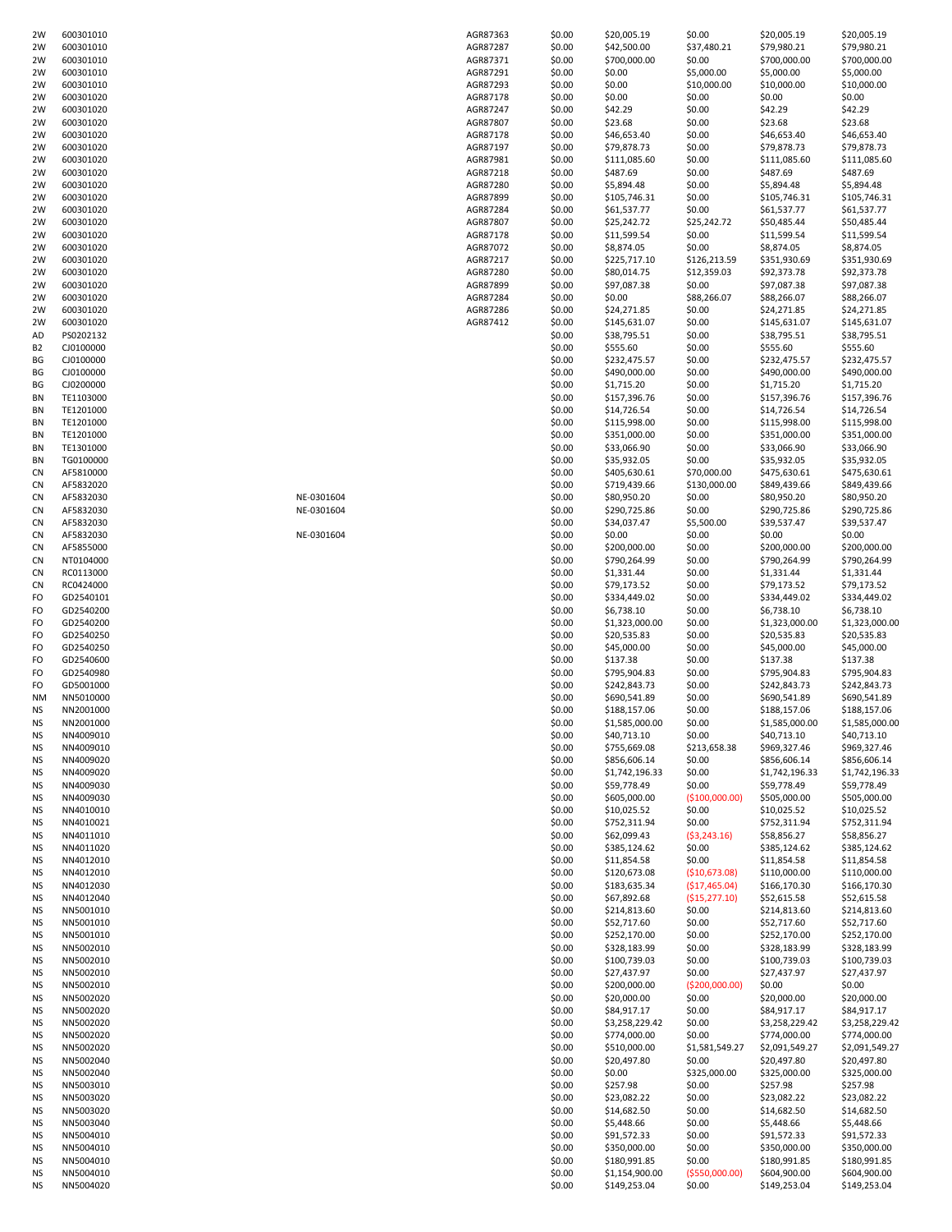| 2W             | 600301010              |            | AGR87363 | \$0.00           | \$20,005.19                    | \$0.00                    | \$20,005.19                  | \$20,005.19                  |
|----------------|------------------------|------------|----------|------------------|--------------------------------|---------------------------|------------------------------|------------------------------|
| 2W             | 600301010              |            | AGR87287 | \$0.00           | \$42,500.00                    | \$37,480.21               | \$79,980.21                  | \$79,980.21                  |
| 2W             | 600301010              |            | AGR87371 | \$0.00           | \$700,000.00                   | \$0.00                    | \$700,000.00                 | \$700,000.00                 |
| 2W             | 600301010              |            | AGR87291 | \$0.00           | \$0.00                         | \$5,000.00                | \$5,000.00                   | \$5,000.00                   |
| 2W             | 600301010              |            | AGR87293 | \$0.00           | \$0.00                         | \$10,000.00               | \$10,000.00                  | \$10,000.00                  |
| 2W             | 600301020              |            | AGR87178 | \$0.00           | \$0.00                         | \$0.00                    | \$0.00                       | \$0.00                       |
| 2W             | 600301020              |            | AGR87247 | \$0.00           | \$42.29                        | \$0.00                    | \$42.29                      | \$42.29                      |
| 2W             | 600301020              |            | AGR87807 | \$0.00           | \$23.68                        | \$0.00                    | \$23.68                      | \$23.68                      |
| 2W             | 600301020              |            | AGR87178 | \$0.00           | \$46,653.40                    | \$0.00                    | \$46,653.40                  | \$46,653.40                  |
| 2W             | 600301020              |            | AGR87197 | \$0.00           | \$79,878.73                    | \$0.00                    | \$79,878.73                  | \$79,878.73                  |
| 2W             | 600301020              |            | AGR87981 | \$0.00           | \$111,085.60                   | \$0.00                    | \$111,085.60                 | \$111,085.60                 |
| 2W             | 600301020              |            | AGR87218 | \$0.00           | \$487.69                       | \$0.00                    | \$487.69                     | \$487.69                     |
| 2W             | 600301020              |            | AGR87280 | \$0.00           | \$5,894.48                     | \$0.00                    | \$5,894.48                   | \$5,894.48                   |
| 2W             | 600301020              |            | AGR87899 | \$0.00           | \$105,746.31                   | \$0.00                    | \$105,746.31                 | \$105,746.31                 |
| 2W             | 600301020              |            | AGR87284 | \$0.00           | \$61,537.77                    | \$0.00                    | \$61,537.77                  | \$61,537.77                  |
| 2W             | 600301020              |            | AGR87807 | \$0.00           | \$25,242.72                    | \$25,242.72               | \$50,485.44                  | \$50,485.44                  |
| 2W             | 600301020              |            | AGR87178 | \$0.00           |                                | \$0.00                    | \$11,599.54                  | \$11,599.54                  |
|                |                        |            |          |                  | \$11,599.54                    |                           |                              |                              |
| 2W             | 600301020              |            | AGR87072 | \$0.00           | \$8,874.05                     | \$0.00                    | \$8,874.05                   | \$8,874.05                   |
| 2W             | 600301020              |            | AGR87217 | \$0.00           | \$225,717.10                   | \$126,213.59              | \$351,930.69                 | \$351,930.69                 |
| 2W             | 600301020              |            | AGR87280 | \$0.00           | \$80,014.75                    | \$12,359.03               | \$92,373.78                  | \$92,373.78                  |
| 2W             | 600301020              |            | AGR87899 | \$0.00           | \$97,087.38                    | \$0.00                    | \$97,087.38                  | \$97,087.38                  |
| 2W             | 600301020              |            | AGR87284 | \$0.00           | \$0.00                         | \$88,266.07               | \$88,266.07                  | \$88,266.07                  |
| 2W             | 600301020              |            | AGR87286 | \$0.00           | \$24,271.85                    | \$0.00                    | \$24,271.85                  | \$24,271.85                  |
| 2W             | 600301020              |            | AGR87412 | \$0.00           | \$145,631.07                   | \$0.00                    | \$145,631.07                 | \$145,631.07                 |
| AD             | PS0202132              |            |          | \$0.00           | \$38,795.51                    | \$0.00                    | \$38,795.51                  | \$38,795.51                  |
| B <sub>2</sub> | CJ0100000              |            |          | \$0.00           | \$555.60                       | \$0.00                    | \$555.60                     | \$555.60                     |
| BG             | CJ0100000              |            |          | \$0.00           | \$232,475.57                   | \$0.00                    | \$232,475.57                 | \$232,475.57                 |
| BG             | CJ0100000              |            |          | \$0.00           | \$490,000.00                   | \$0.00                    | \$490,000.00                 | \$490,000.00                 |
| BG             | CJ0200000              |            |          | \$0.00           | \$1,715.20                     | \$0.00                    | \$1,715.20                   | \$1,715.20                   |
| BN             | TE1103000              |            |          | \$0.00           | \$157,396.76                   | \$0.00                    | \$157,396.76                 | \$157,396.76                 |
| BN             | TE1201000              |            |          | \$0.00           | \$14,726.54                    | \$0.00                    | \$14,726.54                  | \$14,726.54                  |
| BN             | TE1201000              |            |          | \$0.00           | \$115,998.00                   | \$0.00                    | \$115,998.00                 | \$115,998.00                 |
| BN             | TE1201000              |            |          | \$0.00           | \$351,000.00                   | \$0.00                    | \$351,000.00                 | \$351,000.00                 |
| BN             | TE1301000              |            |          | \$0.00           | \$33,066.90                    | \$0.00                    | \$33,066.90                  | \$33,066.90                  |
| BN             | TG0100000              |            |          | \$0.00           | \$35,932.05                    | \$0.00                    | \$35,932.05                  | \$35,932.05                  |
| CN             | AF5810000              |            |          | \$0.00           | \$405,630.61                   | \$70,000.00               | \$475,630.61                 | \$475,630.61                 |
| CN             | AF5832020              |            |          | \$0.00           | \$719,439.66                   | \$130,000.00              | \$849,439.66                 | \$849,439.66                 |
| CN             | AF5832030              | NE-0301604 |          | \$0.00           | \$80,950.20                    | \$0.00                    | \$80,950.20                  | \$80,950.20                  |
| CN             | AF5832030              | NE-0301604 |          | \$0.00           | \$290,725.86                   | \$0.00                    | \$290,725.86                 | \$290,725.86                 |
| CN             | AF5832030              |            |          | \$0.00           | \$34,037.47                    | \$5,500.00                | \$39,537.47                  | \$39,537.47                  |
| CN             | AF5832030              | NE-0301604 |          | \$0.00           | \$0.00                         | \$0.00                    | \$0.00                       | \$0.00                       |
| CN             | AF5855000              |            |          | \$0.00           | \$200,000.00                   | \$0.00                    | \$200,000.00                 | \$200,000.00                 |
| CN             | NT0104000              |            |          | \$0.00           | \$790,264.99                   | \$0.00                    | \$790,264.99                 | \$790,264.99                 |
| CN             | RC0113000              |            |          | \$0.00           | \$1,331.44                     | \$0.00                    | \$1,331.44                   | \$1,331.44                   |
| CN             | RC0424000              |            |          | \$0.00           | \$79,173.52                    | \$0.00                    | \$79,173.52                  | \$79,173.52                  |
| FO             | GD2540101              |            |          | \$0.00           | \$334,449.02                   | \$0.00                    | \$334,449.02                 | \$334,449.02                 |
| FO             | GD2540200              |            |          | \$0.00           | \$6,738.10                     | \$0.00                    | \$6,738.10                   | \$6,738.10                   |
| FO             | GD2540200              |            |          | \$0.00           | \$1,323,000.00                 | \$0.00                    | \$1,323,000.00               | \$1,323,000.00               |
| FO             |                        |            |          | \$0.00           |                                | \$0.00                    |                              |                              |
|                | GD2540250              |            |          |                  | \$20,535.83                    |                           | \$20,535.83                  | \$20,535.83                  |
| FO             | GD2540250              |            |          | \$0.00           | \$45,000.00                    | \$0.00                    | \$45,000.00                  | \$45,000.00                  |
| FO             | GD2540600              |            |          | \$0.00           | \$137.38                       | \$0.00                    | \$137.38                     | \$137.38                     |
| FO             | GD2540980              |            |          | \$0.00           | \$795,904.83                   | \$0.00                    | \$795,904.83                 | \$795,904.83                 |
| FO             | GD5001000              |            |          | \$0.00           | \$242,843.73                   | \$0.00                    | \$242,843.73                 | \$242,843.73                 |
| <b>NM</b>      | NN5010000              |            |          | \$0.00           | \$690,541.89                   | \$0.00                    | \$690,541.89                 | \$690,541.89                 |
| ΝS             | NN2001000              |            |          | \$0.00           | \$188,157.06                   | \$0.00                    | \$188,157.06                 | \$188,157.06                 |
| <b>NS</b>      | NN2001000              |            |          | \$0.00           | \$1,585,000.00                 | \$0.00                    | \$1,585,000.00               | \$1,585,000.00               |
| NS             | NN4009010              |            |          | \$0.00           | \$40,713.10                    | \$0.00                    | \$40,713.10                  | \$40,713.10                  |
| ΝS             | NN4009010              |            |          | \$0.00           | \$755,669.08                   | \$213,658.38              | \$969,327.46                 | \$969,327.46                 |
| ΝS             | NN4009020              |            |          | \$0.00           | \$856,606.14                   | \$0.00                    | \$856,606.14                 | \$856,606.14                 |
| ΝS             | NN4009020              |            |          | \$0.00           | \$1,742,196.33                 | \$0.00                    | \$1,742,196.33               | \$1,742,196.33               |
| ΝS             | NN4009030              |            |          | \$0.00           | \$59,778.49                    | \$0.00                    | \$59,778.49                  | \$59,778.49                  |
| ΝS             | NN4009030              |            |          | \$0.00           | \$605,000.00                   | (\$100,000.00)            | \$505,000.00                 | \$505,000.00                 |
| ΝS             | NN4010010              |            |          | \$0.00           | \$10,025.52                    | \$0.00                    | \$10,025.52                  | \$10,025.52                  |
| ΝS             | NN4010021              |            |          | \$0.00           | \$752,311.94                   | \$0.00                    | \$752,311.94                 | \$752,311.94                 |
| ΝS             | NN4011010              |            |          | \$0.00           | \$62,099.43                    | (53, 243.16)              | \$58,856.27                  | \$58,856.27                  |
| ΝS             | NN4011020              |            |          | \$0.00           | \$385,124.62                   | \$0.00                    | \$385,124.62                 | \$385,124.62                 |
| ΝS             | NN4012010              |            |          | \$0.00           | \$11,854.58                    | \$0.00                    | \$11,854.58                  | \$11,854.58                  |
| ΝS             | NN4012010              |            |          | \$0.00           | \$120,673.08                   | (\$10,673.08)             | \$110,000.00                 | \$110,000.00                 |
| ΝS             | NN4012030              |            |          | \$0.00           | \$183,635.34                   | (\$17,465.04)             | \$166,170.30                 | \$166,170.30                 |
| ΝS             | NN4012040              |            |          | \$0.00           | \$67,892.68                    | (\$15,277.10)             | \$52,615.58                  | \$52,615.58                  |
| ΝS             | NN5001010              |            |          | \$0.00           | \$214,813.60                   | \$0.00                    | \$214,813.60                 | \$214,813.60                 |
| ΝS             | NN5001010              |            |          | \$0.00           | \$52,717.60                    | \$0.00                    | \$52,717.60                  | \$52,717.60                  |
| ΝS             | NN5001010              |            |          | \$0.00           | \$252,170.00                   | \$0.00                    | \$252,170.00                 | \$252,170.00                 |
| ΝS             | NN5002010              |            |          | \$0.00           | \$328,183.99                   | \$0.00                    | \$328,183.99                 | \$328,183.99                 |
| ΝS             | NN5002010              |            |          | \$0.00           | \$100,739.03                   | \$0.00                    | \$100,739.03                 | \$100,739.03                 |
| ΝS             | NN5002010              |            |          | \$0.00           | \$27,437.97                    | \$0.00                    | \$27,437.97                  | \$27,437.97                  |
| ΝS             | NN5002010              |            |          | \$0.00           | \$200,000.00                   | ( \$200,000.00)           | \$0.00                       | \$0.00                       |
| ΝS             | NN5002020              |            |          | \$0.00           | \$20,000.00                    | \$0.00                    | \$20,000.00                  | \$20,000.00                  |
| NS             | NN5002020              |            |          | \$0.00           | \$84,917.17                    | \$0.00                    | \$84,917.17                  | \$84,917.17                  |
| ΝS             | NN5002020              |            |          | \$0.00           | \$3,258,229.42                 | \$0.00                    | \$3,258,229.42               | \$3,258,229.42               |
| ΝS             | NN5002020              |            |          | \$0.00           | \$774,000.00                   | \$0.00                    | \$774,000.00                 | \$774,000.00                 |
| NS             | NN5002020              |            |          | \$0.00           | \$510,000.00                   | \$1,581,549.27            | \$2,091,549.27               | \$2,091,549.27               |
| ΝS             |                        |            |          | \$0.00           | \$20,497.80                    | \$0.00                    | \$20,497.80                  | \$20,497.80                  |
|                | NN5002040              |            |          |                  | \$0.00                         | \$325,000.00              | \$325,000.00                 | \$325,000.00                 |
| ΝS             | NN5002040              |            |          | \$0.00           |                                |                           |                              |                              |
| ΝS             | NN5003010              |            |          | \$0.00           | \$257.98                       | \$0.00                    | \$257.98                     | \$257.98                     |
|                |                        |            |          |                  |                                |                           |                              |                              |
| ΝS             | NN5003020              |            |          | \$0.00           | \$23,082.22                    | \$0.00                    | \$23,082.22                  | \$23,082.22                  |
| ΝS             | NN5003020              |            |          | \$0.00           | \$14,682.50                    | \$0.00                    | \$14,682.50                  | \$14,682.50                  |
| ΝS             | NN5003040              |            |          | \$0.00           | \$5,448.66                     | \$0.00                    | \$5,448.66                   | \$5,448.66                   |
| ΝS             | NN5004010              |            |          | \$0.00           | \$91,572.33                    | \$0.00                    | \$91,572.33                  | \$91,572.33                  |
| ΝS             | NN5004010              |            |          | \$0.00           | \$350,000.00                   | \$0.00                    | \$350,000.00                 | \$350,000.00                 |
| ΝS<br>ΝS       | NN5004010<br>NN5004010 |            |          | \$0.00<br>\$0.00 | \$180,991.85<br>\$1,154,900.00 | \$0.00<br>( \$550,000.00] | \$180,991.85<br>\$604,900.00 | \$180,991.85<br>\$604,900.00 |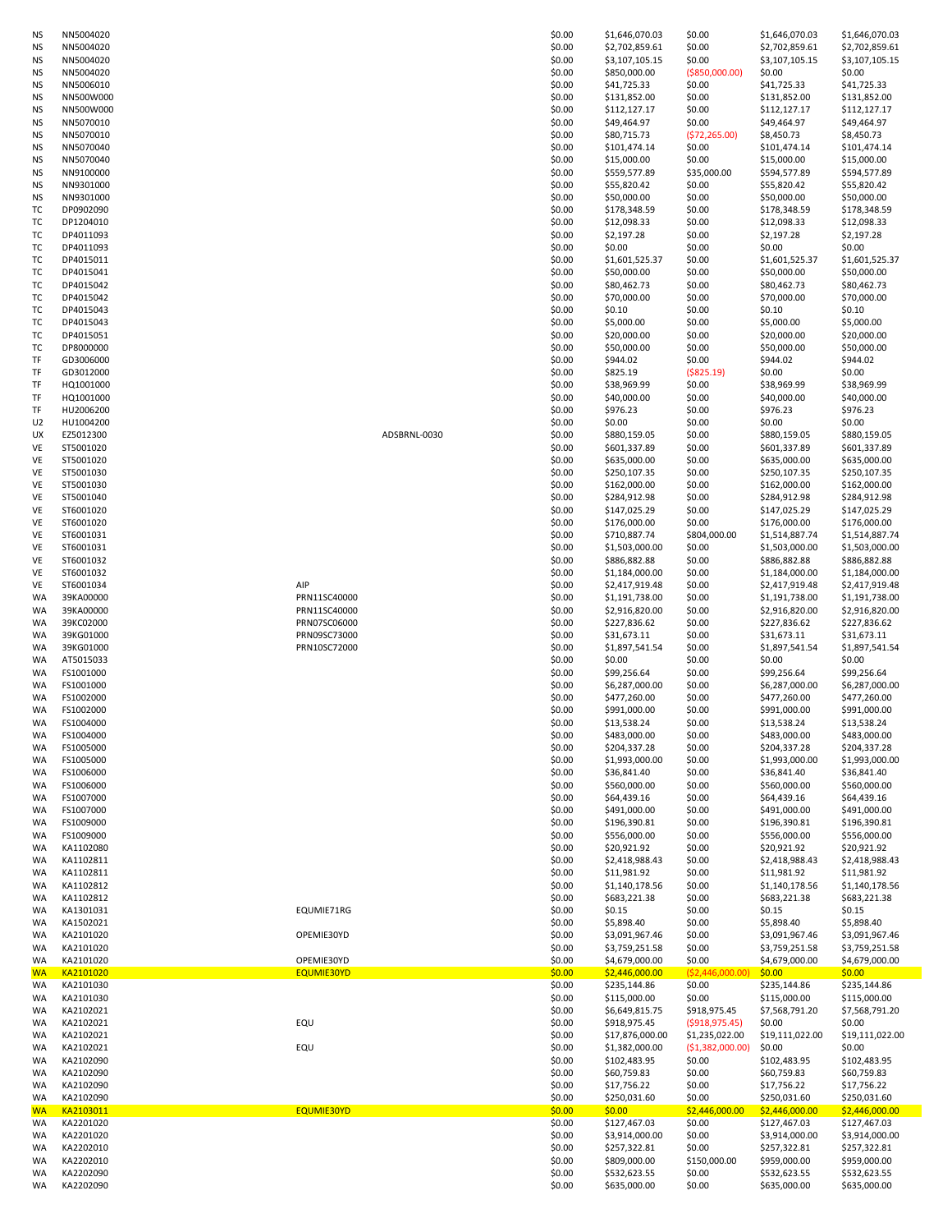| NS              | NN5004020              |              | \$0.00           | \$1,646,070.03                   | \$0.00                      | \$1,646,070.03                   | \$1,646,070.03                   |
|-----------------|------------------------|--------------|------------------|----------------------------------|-----------------------------|----------------------------------|----------------------------------|
| <b>NS</b>       | NN5004020              |              | \$0.00           | \$2,702,859.61                   | \$0.00                      | \$2,702,859.61                   | \$2,702,859.61                   |
| <b>NS</b>       | NN5004020              |              | \$0.00           | \$3,107,105.15                   | \$0.00                      | \$3,107,105.15                   | \$3,107,105.15                   |
| ΝS              | NN5004020              |              | \$0.00           | \$850,000.00                     | ( \$850,000.00)             | \$0.00                           | \$0.00                           |
| ΝS              | NN5006010              |              | \$0.00           | \$41,725.33                      | \$0.00                      | \$41,725.33                      | \$41,725.33                      |
| <b>NS</b>       | NN500W000<br>NN500W000 |              | \$0.00           | \$131,852.00<br>\$112,127.17     | \$0.00                      | \$131,852.00                     | \$131,852.00                     |
| <b>NS</b>       | NN5070010              |              | \$0.00<br>\$0.00 | \$49,464.97                      | \$0.00<br>\$0.00            | \$112,127.17<br>\$49,464.97      | \$112,127.17<br>\$49,464.97      |
| ΝS<br><b>NS</b> | NN5070010              |              | \$0.00           | \$80,715.73                      | (572, 265.00)               | \$8,450.73                       | \$8,450.73                       |
| ΝS              | NN5070040              |              | \$0.00           | \$101,474.14                     | \$0.00                      | \$101,474.14                     | \$101,474.14                     |
| ΝS              | NN5070040              |              | \$0.00           | \$15,000.00                      | \$0.00                      | \$15,000.00                      | \$15,000.00                      |
| <b>NS</b>       | NN9100000              |              | \$0.00           | \$559,577.89                     | \$35,000.00                 | \$594,577.89                     | \$594,577.89                     |
| ΝS              | NN9301000              |              | \$0.00           | \$55,820.42                      | \$0.00                      | \$55,820.42                      | \$55,820.42                      |
| ΝS              | NN9301000              |              | \$0.00           | \$50,000.00                      | \$0.00                      | \$50,000.00                      | \$50,000.00                      |
| тc              | DP0902090              |              | \$0.00           | \$178,348.59                     | \$0.00                      | \$178,348.59                     | \$178,348.59                     |
| тc              | DP1204010              |              | \$0.00           | \$12,098.33                      | \$0.00                      | \$12,098.33                      | \$12,098.33                      |
| тс              | DP4011093              |              | \$0.00           | \$2,197.28                       | \$0.00                      | \$2,197.28                       | \$2,197.28                       |
| тc              | DP4011093              |              | \$0.00           | \$0.00                           | \$0.00                      | \$0.00                           | \$0.00                           |
| тc              | DP4015011              |              | \$0.00           | \$1,601,525.37                   | \$0.00                      | \$1,601,525.37                   | \$1,601,525.37                   |
| тс              | DP4015041              |              | \$0.00           | \$50,000.00                      | \$0.00                      | \$50,000.00                      | \$50,000.00                      |
| тc              | DP4015042              |              | \$0.00           | \$80,462.73                      | \$0.00                      | \$80,462.73                      | \$80,462.73                      |
| тc              | DP4015042              |              | \$0.00           | \$70,000.00                      | \$0.00                      | \$70,000.00                      | \$70,000.00                      |
| ТC              | DP4015043              |              | \$0.00           | \$0.10                           | \$0.00                      | \$0.10                           | \$0.10                           |
| тc<br>тc        | DP4015043<br>DP4015051 |              | \$0.00<br>\$0.00 | \$5,000.00<br>\$20,000.00        | \$0.00<br>\$0.00            | \$5,000.00<br>\$20,000.00        | \$5,000.00<br>\$20,000.00        |
| тс              | DP8000000              |              | \$0.00           | \$50,000.00                      | \$0.00                      | \$50,000.00                      | \$50,000.00                      |
| TF              | GD3006000              |              | \$0.00           | \$944.02                         | \$0.00                      | \$944.02                         | \$944.02                         |
| TF              | GD3012000              |              | \$0.00           | \$825.19                         | ( \$825.19)                 | \$0.00                           | \$0.00                           |
| TF              | HQ1001000              |              | \$0.00           | \$38,969.99                      | \$0.00                      | \$38,969.99                      | \$38,969.99                      |
| TF              | HQ1001000              |              | \$0.00           | \$40,000.00                      | \$0.00                      | \$40,000.00                      | \$40,000.00                      |
| TF              | HU2006200              |              | \$0.00           | \$976.23                         | \$0.00                      | \$976.23                         | \$976.23                         |
| U <sub>2</sub>  | HU1004200              |              | \$0.00           | \$0.00                           | \$0.00                      | \$0.00                           | \$0.00                           |
| UX              | EZ5012300              | ADSBRNL-0030 | \$0.00           | \$880,159.05                     | \$0.00                      | \$880,159.05                     | \$880,159.05                     |
| VE              | ST5001020              |              | \$0.00           | \$601,337.89                     | \$0.00                      | \$601,337.89                     | \$601,337.89                     |
| VE              | ST5001020              |              | \$0.00           | \$635,000.00                     | \$0.00                      | \$635,000.00                     | \$635,000.00                     |
| VE              | ST5001030              |              | \$0.00           | \$250,107.35                     | \$0.00                      | \$250,107.35                     | \$250,107.35                     |
| VE              | ST5001030              |              | \$0.00           | \$162,000.00                     | \$0.00                      | \$162,000.00                     | \$162,000.00                     |
| VE              | ST5001040              |              | \$0.00           | \$284,912.98                     | \$0.00                      | \$284,912.98                     | \$284,912.98                     |
| VE              | ST6001020              |              | \$0.00           | \$147,025.29                     | \$0.00                      | \$147,025.29                     | \$147,025.29                     |
| VE              | ST6001020              |              | \$0.00           | \$176,000.00                     | \$0.00                      | \$176,000.00                     | \$176,000.00                     |
| VE              | ST6001031              |              | \$0.00           | \$710,887.74                     | \$804,000.00                | \$1,514,887.74                   | \$1,514,887.74                   |
| VE              | ST6001031              |              | \$0.00           | \$1,503,000.00                   | \$0.00                      | \$1,503,000.00                   | \$1,503,000.00                   |
| VE              | ST6001032              |              | \$0.00           | \$886,882.88                     | \$0.00                      | \$886,882.88                     | \$886,882.88                     |
| VE<br>VE        | ST6001032<br>ST6001034 | AIP          | \$0.00<br>\$0.00 | \$1,184,000.00                   | \$0.00<br>\$0.00            | \$1,184,000.00<br>\$2,417,919.48 | \$1,184,000.00                   |
| WA              | 39KA00000              | PRN11SC40000 | \$0.00           | \$2,417,919.48<br>\$1,191,738.00 | \$0.00                      | \$1,191,738.00                   | \$2,417,919.48<br>\$1,191,738.00 |
| WA              | 39KA00000              | PRN11SC40000 | \$0.00           | \$2,916,820.00                   | \$0.00                      | \$2,916,820.00                   | \$2,916,820.00                   |
| WA              | 39KC02000              | PRN07SC06000 | \$0.00           | \$227,836.62                     | \$0.00                      | \$227,836.62                     | \$227,836.62                     |
| WA              | 39KG01000              | PRN09SC73000 | \$0.00           | \$31,673.11                      | \$0.00                      | \$31,673.11                      | \$31,673.11                      |
| WA              | 39KG01000              | PRN10SC72000 | \$0.00           | \$1,897,541.54                   | \$0.00                      | \$1,897,541.54                   | \$1,897,541.54                   |
| WA              | AT5015033              |              | \$0.00           | \$0.00                           | \$0.00                      | \$0.00                           | \$0.00                           |
| WA              | FS1001000              |              | \$0.00           | \$99,256.64                      | \$0.00                      | \$99,256.64                      | \$99,256.64                      |
| WA              | FS1001000              |              | \$0.00           | \$6,287,000.00                   | \$0.00                      | \$6,287,000.00                   | \$6,287,000.00                   |
| WA              | FS1002000              |              | \$0.00           | \$477,260.00                     | \$0.00                      | \$477,260.00                     | \$477,260.00                     |
| WA              | FS1002000              |              | \$0.00           | \$991,000.00                     | \$0.00                      | \$991,000.00                     | \$991,000.00                     |
| <b>WA</b>       | FS1004000              |              | \$0.00           | \$13,538.24                      | \$0.00                      | \$13,538.24                      | \$13,538.24                      |
| WA              | FS1004000              |              | \$0.00           | \$483,000.00                     | \$0.00                      | \$483,000.00                     | \$483,000.00                     |
| WA              | FS1005000              |              | \$0.00           | \$204,337.28                     | \$0.00                      | \$204,337.28                     | \$204,337.28                     |
| WA              | FS1005000              |              | \$0.00           | \$1,993,000.00                   | \$0.00                      | \$1,993,000.00                   | \$1,993,000.00                   |
| WA              | FS1006000              |              | \$0.00           | \$36,841.40                      | \$0.00                      | \$36,841.40                      | \$36,841.40                      |
| WA              | FS1006000              |              | \$0.00           | \$560,000.00                     | \$0.00                      | \$560,000.00                     | \$560,000.00                     |
| WA              | FS1007000              |              | \$0.00           | \$64,439.16<br>\$491,000.00      | \$0.00                      | \$64,439.16                      | \$64,439.16                      |
| WA<br>WA        | FS1007000              |              | \$0.00<br>\$0.00 | \$196,390.81                     | \$0.00<br>\$0.00            | \$491,000.00<br>\$196,390.81     | \$491,000.00<br>\$196,390.81     |
| WA              | FS1009000<br>FS1009000 |              | \$0.00           | \$556,000.00                     | \$0.00                      | \$556,000.00                     | \$556,000.00                     |
| WA              | KA1102080              |              | \$0.00           | \$20,921.92                      | \$0.00                      | \$20,921.92                      | \$20,921.92                      |
| WA              | KA1102811              |              | \$0.00           | \$2,418,988.43                   | \$0.00                      | \$2,418,988.43                   | \$2,418,988.43                   |
| WA              | KA1102811              |              | \$0.00           | \$11,981.92                      | \$0.00                      | \$11,981.92                      | \$11,981.92                      |
| WA              | KA1102812              |              | \$0.00           | \$1,140,178.56                   | \$0.00                      | \$1,140,178.56                   | \$1,140,178.56                   |
| WA              | KA1102812              |              | \$0.00           | \$683,221.38                     | \$0.00                      | \$683,221.38                     | \$683,221.38                     |
| WA              | KA1301031              | EQUMIE71RG   | \$0.00           | \$0.15                           | \$0.00                      | \$0.15                           | \$0.15                           |
| WA              | KA1502021              |              | \$0.00           | \$5,898.40                       | \$0.00                      | \$5,898.40                       | \$5,898.40                       |
| WA              | KA2101020              | OPEMIE30YD   | \$0.00           | \$3,091,967.46                   | \$0.00                      | \$3,091,967.46                   | \$3,091,967.46                   |
| WA              | KA2101020              |              | \$0.00           | \$3,759,251.58                   | \$0.00                      | \$3,759,251.58                   | \$3,759,251.58                   |
| WA              | KA2101020              | OPEMIE30YD   | \$0.00           | \$4,679,000.00                   | \$0.00                      | \$4,679,000.00                   | \$4,679,000.00                   |
| <b>WA</b><br>WA | KA2101020<br>KA2101030 | EQUMIE30YD   | \$0.00<br>\$0.00 | \$2,446,000.00<br>\$235,144.86   | ( \$2,446,000.00)<br>\$0.00 | \$0.00<br>\$235,144.86           | \$0.00<br>\$235,144.86           |
| WA              | KA2101030              |              | \$0.00           | \$115,000.00                     | \$0.00                      | \$115,000.00                     | \$115,000.00                     |
| WA              | KA2102021              |              | \$0.00           | \$6,649,815.75                   | \$918,975.45                | \$7,568,791.20                   | \$7,568,791.20                   |
| WA              | KA2102021              | EQU          | \$0.00           | \$918,975.45                     | ( \$918, 975.45)            | \$0.00                           | \$0.00                           |
| WA              | KA2102021              |              | \$0.00           | \$17,876,000.00                  | \$1,235,022.00              | \$19,111,022.00                  | \$19,111,022.00                  |
| WA              | KA2102021              | EQU          | \$0.00           | \$1,382,000.00                   | (\$1,382,000.00)            | \$0.00                           | \$0.00                           |
| WA              | KA2102090              |              | \$0.00           | \$102,483.95                     | \$0.00                      | \$102,483.95                     | \$102,483.95                     |
| WA              | KA2102090              |              | \$0.00           | \$60,759.83                      | \$0.00                      | \$60,759.83                      | \$60,759.83                      |
| WA              | KA2102090              |              | \$0.00           | \$17,756.22                      | \$0.00                      | \$17,756.22                      | \$17,756.22                      |
| WA              | KA2102090              |              | \$0.00           | \$250,031.60                     | \$0.00                      | \$250,031.60                     | \$250,031.60                     |
| <b>WA</b>       | KA2103011              | EQUMIE30YD   | \$0.00           | \$0.00                           | \$2,446,000.00              | \$2,446,000.00                   | \$2,446,000.00                   |
| WA              | KA2201020              |              | \$0.00           | \$127,467.03                     | \$0.00                      | \$127,467.03                     | \$127,467.03                     |
| WA              | KA2201020              |              | \$0.00           | \$3,914,000.00                   | \$0.00                      | \$3,914,000.00                   | \$3,914,000.00                   |
| WA              | KA2202010              |              | \$0.00           | \$257,322.81                     | \$0.00                      | \$257,322.81                     | \$257,322.81                     |
| WA<br>WA        | KA2202010<br>KA2202090 |              | \$0.00           | \$809,000.00<br>\$532,623.55     | \$150,000.00                | \$959,000.00                     | \$959,000.00                     |
|                 |                        |              | \$0.00<br>\$0.00 | \$635,000.00                     | \$0.00<br>\$0.00            | \$532,623.55<br>\$635,000.00     | \$532,623.55<br>\$635,000.00     |
| WA              | KA2202090              |              |                  |                                  |                             |                                  |                                  |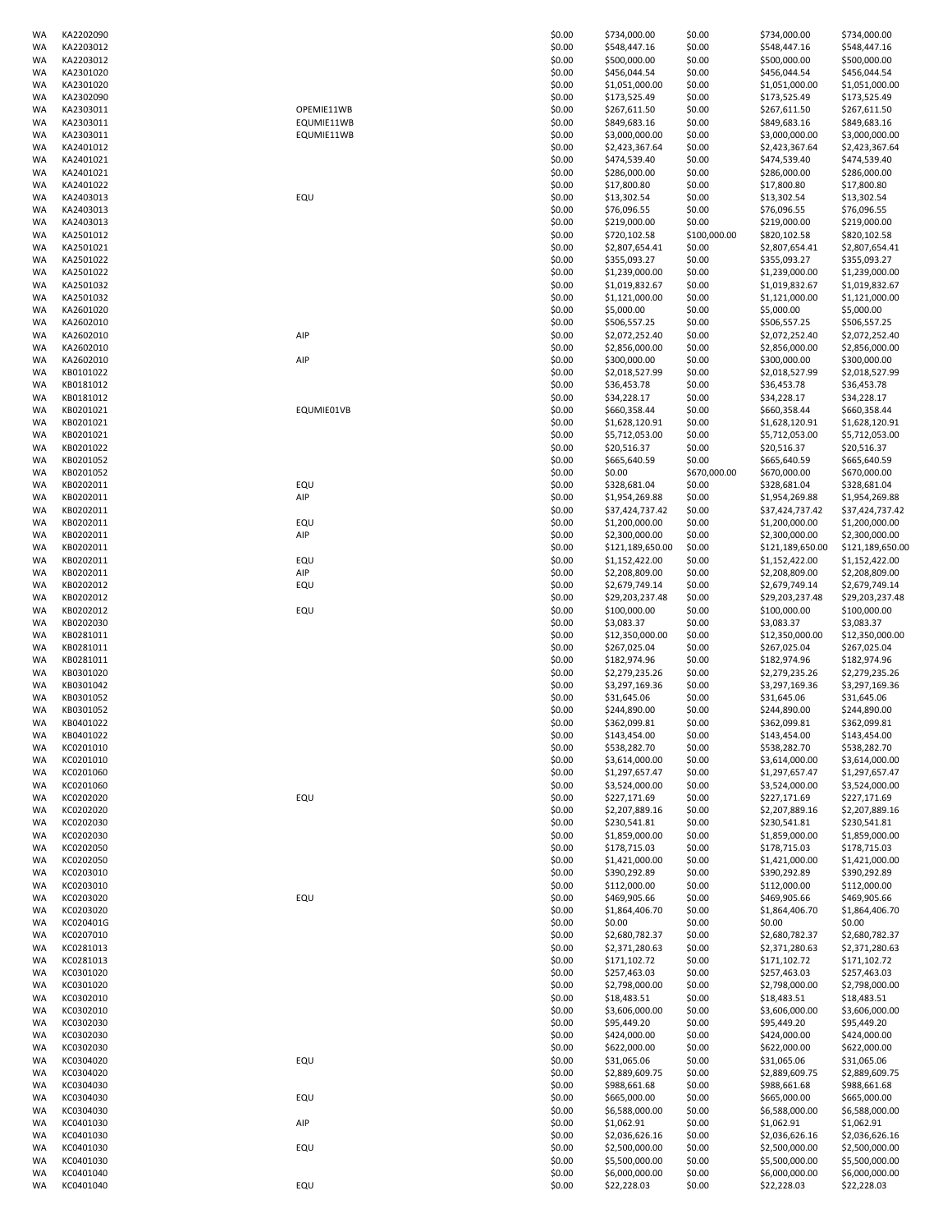| WA       | KA2202090              |            | \$0.00           | \$734,000.00                     | \$0.00           | \$734,000.00                     | \$734,000.00                     |
|----------|------------------------|------------|------------------|----------------------------------|------------------|----------------------------------|----------------------------------|
| WA       | KA2203012              |            | \$0.00           | \$548,447.16                     | \$0.00           | \$548,447.16                     | \$548,447.16                     |
| WA       | KA2203012              |            | \$0.00           | \$500,000.00                     | \$0.00           | \$500,000.00                     | \$500,000.00                     |
| WA       | KA2301020              |            | \$0.00           | \$456,044.54                     | \$0.00           | \$456,044.54                     | \$456,044.54                     |
| WA       | KA2301020              |            | \$0.00           | \$1,051,000.00                   | \$0.00           | \$1,051,000.00                   | \$1,051,000.00                   |
| WA       | KA2302090              |            | \$0.00           | \$173,525.49                     | \$0.00           | \$173,525.49                     | \$173,525.49                     |
| WA       | KA2303011              | OPEMIE11WB | \$0.00           | \$267,611.50                     | \$0.00           | \$267,611.50                     | \$267,611.50                     |
| WA       | KA2303011              | EQUMIE11WB | \$0.00           | \$849,683.16                     | \$0.00           | \$849,683.16                     | \$849,683.16                     |
| WA       | KA2303011              | EQUMIE11WB | \$0.00<br>\$0.00 | \$3,000,000.00                   | \$0.00           | \$3,000,000.00                   | \$3,000,000.00                   |
| WA<br>WA | KA2401012<br>KA2401021 |            | \$0.00           | \$2,423,367.64<br>\$474,539.40   | \$0.00<br>\$0.00 | \$2,423,367.64<br>\$474,539.40   | \$2,423,367.64<br>\$474,539.40   |
| WA       | KA2401021              |            | \$0.00           | \$286,000.00                     | \$0.00           | \$286,000.00                     | \$286,000.00                     |
| WA       | KA2401022              |            | \$0.00           | \$17,800.80                      | \$0.00           | \$17,800.80                      | \$17,800.80                      |
| WA       | KA2403013              | EQU        | \$0.00           | \$13,302.54                      | \$0.00           | \$13,302.54                      | \$13,302.54                      |
| WA       | KA2403013              |            | \$0.00           | \$76,096.55                      | \$0.00           | \$76,096.55                      | \$76,096.55                      |
| WA       | KA2403013              |            | \$0.00           | \$219,000.00                     | \$0.00           | \$219,000.00                     | \$219,000.00                     |
| WA       | KA2501012              |            | \$0.00           | \$720,102.58                     | \$100,000.00     | \$820,102.58                     | \$820,102.58                     |
| WA       | KA2501021              |            | \$0.00           | \$2,807,654.41                   | \$0.00           | \$2,807,654.41                   | \$2,807,654.41                   |
| WA       | KA2501022              |            | \$0.00           | \$355,093.27                     | \$0.00           | \$355,093.27                     | \$355,093.27                     |
| WA       | KA2501022              |            | \$0.00           | \$1,239,000.00                   | \$0.00           | \$1,239,000.00                   | \$1,239,000.00                   |
| WA       | KA2501032              |            | \$0.00           | \$1,019,832.67                   | \$0.00           | \$1,019,832.67                   | \$1,019,832.67                   |
| WA       | KA2501032              |            | \$0.00           | \$1,121,000.00                   | \$0.00           | \$1,121,000.00                   | \$1,121,000.00                   |
| WA       | KA2601020              |            | \$0.00           | \$5,000.00                       | \$0.00           | \$5,000.00                       | \$5,000.00                       |
| WA       | KA2602010              |            | \$0.00           | \$506,557.25                     | \$0.00           | \$506,557.25                     | \$506,557.25                     |
| WA       | KA2602010              | AIP        | \$0.00           | \$2,072,252.40                   | \$0.00           | \$2,072,252.40                   | \$2,072,252.40                   |
| WA       | KA2602010              |            | \$0.00           | \$2,856,000.00                   | \$0.00           | \$2,856,000.00                   | \$2,856,000.00                   |
| WA       | KA2602010              | AIP        | \$0.00           | \$300,000.00                     | \$0.00           | \$300,000.00                     | \$300,000.00                     |
| WA       | KB0101022              |            | \$0.00           | \$2,018,527.99                   | \$0.00           | \$2,018,527.99                   | \$2,018,527.99                   |
| WA       | KB0181012              |            | \$0.00           | \$36,453.78                      | \$0.00           | \$36,453.78                      | \$36,453.78                      |
| WA       | KB0181012              |            | \$0.00           | \$34,228.17                      | \$0.00           | \$34,228.17                      | \$34,228.17                      |
| WA       | KB0201021              | EQUMIE01VB | \$0.00           | \$660,358.44                     | \$0.00           | \$660,358.44                     | \$660,358.44                     |
| WA       | KB0201021              |            | \$0.00           | \$1,628,120.91                   | \$0.00           | \$1,628,120.91                   | \$1,628,120.91                   |
| WA       | KB0201021              |            | \$0.00           | \$5,712,053.00                   | \$0.00           | \$5,712,053.00                   | \$5,712,053.00                   |
| WA       | KB0201022              |            | \$0.00           | \$20,516.37                      | \$0.00           | \$20,516.37                      | \$20,516.37                      |
| WA       | KB0201052              |            | \$0.00           | \$665,640.59                     | \$0.00           | \$665,640.59                     | \$665,640.59                     |
| WA       | KB0201052              |            | \$0.00           | \$0.00                           | \$670,000.00     | \$670,000.00                     | \$670,000.00                     |
| WA       | KB0202011              | EQU        | \$0.00           | \$328,681.04                     | \$0.00           | \$328,681.04                     | \$328,681.04                     |
| WA       | KB0202011              | AIP        | \$0.00           | \$1,954,269.88                   | \$0.00           | \$1,954,269.88                   | \$1,954,269.88                   |
| WA       | KB0202011              |            | \$0.00           | \$37,424,737.42                  | \$0.00           | \$37,424,737.42                  | \$37,424,737.42                  |
| WA       | KB0202011              | EQU        | \$0.00           | \$1,200,000.00                   | \$0.00           | \$1,200,000.00                   | \$1,200,000.00                   |
| WA<br>WA | KB0202011<br>KB0202011 | AIP        | \$0.00<br>\$0.00 | \$2,300,000.00                   | \$0.00<br>\$0.00 | \$2,300,000.00                   | \$2,300,000.00                   |
|          | KB0202011              |            | \$0.00           | \$121,189,650.00                 | \$0.00           | \$121,189,650.00                 | \$121,189,650.00                 |
| WA<br>WA | KB0202011              | EQU<br>AIP | \$0.00           | \$1,152,422.00<br>\$2,208,809.00 | \$0.00           | \$1,152,422.00<br>\$2,208,809.00 | \$1,152,422.00<br>\$2,208,809.00 |
| WA       | KB0202012              | EQU        | \$0.00           | \$2,679,749.14                   | \$0.00           | \$2,679,749.14                   | \$2,679,749.14                   |
| WA       | KB0202012              |            | \$0.00           | \$29,203,237.48                  | \$0.00           | \$29,203,237.48                  | \$29,203,237.48                  |
| WA       | KB0202012              | EQU        | \$0.00           | \$100,000.00                     | \$0.00           | \$100,000.00                     | \$100,000.00                     |
| WA       | KB0202030              |            | \$0.00           | \$3,083.37                       | \$0.00           | \$3,083.37                       | \$3,083.37                       |
| WA       | KB0281011              |            | \$0.00           | \$12,350,000.00                  | \$0.00           | \$12,350,000.00                  | \$12,350,000.00                  |
| WA       | KB0281011              |            | \$0.00           | \$267,025.04                     | \$0.00           | \$267,025.04                     | \$267,025.04                     |
| WA       | KB0281011              |            | \$0.00           | \$182,974.96                     | \$0.00           | \$182,974.96                     | \$182,974.96                     |
| WA       | KB0301020              |            | \$0.00           | \$2,279,235.26                   | \$0.00           | \$2,279,235.26                   | \$2,279,235.26                   |
| WA       | KB0301042              |            | \$0.00           | \$3,297,169.36                   | \$0.00           | \$3,297,169.36                   | \$3,297,169.36                   |
| WA       | KB0301052              |            | \$0.00           | \$31,645.06                      | \$0.00           | \$31,645.06                      | \$31,645.06                      |
| WA       | KB0301052              |            | \$0.00           | \$244,890.00                     | \$0.00           | \$244.890.00                     | \$244,890.00                     |
| WA       | KB0401022              |            | \$0.00           | \$362,099.81                     | \$0.00           | \$362,099.81                     | \$362,099.81                     |
| WA       | KB0401022              |            | \$0.00           | \$143,454.00                     | \$0.00           | \$143,454.00                     | \$143,454.00                     |
| WA       | KC0201010              |            | \$0.00           | \$538,282.70                     | \$0.00           | \$538,282.70                     | \$538,282.70                     |
| WA       | KC0201010              |            | \$0.00           | \$3,614,000.00                   | \$0.00           | \$3,614,000.00                   | \$3,614,000.00                   |
| WA       | KC0201060              |            | \$0.00           | \$1,297,657.47                   | \$0.00           | \$1,297,657.47                   | \$1,297,657.47                   |
| WA       | KC0201060              |            | \$0.00           | \$3,524,000.00                   | \$0.00           | \$3,524,000.00                   | \$3,524,000.00                   |
| WA       | KC0202020              | EQU        | \$0.00           | \$227,171.69                     | \$0.00           | \$227,171.69                     | \$227,171.69                     |
| WA       | KC0202020              |            | \$0.00           | \$2,207,889.16                   | \$0.00           | \$2,207,889.16                   | \$2,207,889.16                   |
| WA       | KC0202030              |            | \$0.00           | \$230,541.81                     | \$0.00           | \$230,541.81                     | \$230,541.81                     |
| WA       | KC0202030              |            | \$0.00           | \$1,859,000.00                   | \$0.00           | \$1,859,000.00                   | \$1,859,000.00                   |
| WA       | KC0202050              |            | \$0.00           | \$178,715.03                     | \$0.00           | \$178,715.03                     | \$178,715.03                     |
| WA       | KC0202050              |            | \$0.00           | \$1,421,000.00                   | \$0.00           | \$1,421,000.00                   | \$1,421,000.00                   |
| WA       | KC0203010              |            | \$0.00           | \$390,292.89                     | \$0.00           | \$390,292.89                     | \$390,292.89                     |
| WA       | KC0203010              | EQU        | \$0.00           | \$112,000.00                     | \$0.00           | \$112,000.00<br>\$469,905.66     | \$112,000.00                     |
| WA<br>WA | KC0203020<br>KC0203020 |            | \$0.00<br>\$0.00 | \$469,905.66<br>\$1,864,406.70   | \$0.00<br>\$0.00 | \$1,864,406.70                   | \$469,905.66<br>\$1,864,406.70   |
| WA       | KC020401G              |            | \$0.00           | \$0.00                           | \$0.00           | \$0.00                           | \$0.00                           |
| WA       | KC0207010              |            | \$0.00           | \$2,680,782.37                   | \$0.00           | \$2,680,782.37                   | \$2,680,782.37                   |
| WA       | KC0281013              |            | \$0.00           | \$2,371,280.63                   | \$0.00           | \$2,371,280.63                   | \$2,371,280.63                   |
| WA       | KC0281013              |            | \$0.00           | \$171,102.72                     | \$0.00           | \$171,102.72                     | \$171,102.72                     |
| WA       | KC0301020              |            | \$0.00           | \$257,463.03                     | \$0.00           | \$257,463.03                     | \$257,463.03                     |
| WA       | KC0301020              |            | \$0.00           | \$2,798,000.00                   | \$0.00           | \$2,798,000.00                   | \$2,798,000.00                   |
| WA       | KC0302010              |            | \$0.00           | \$18,483.51                      | \$0.00           | \$18,483.51                      | \$18,483.51                      |
| WA       | KC0302010              |            | \$0.00           | \$3,606,000.00                   | \$0.00           | \$3,606,000.00                   | \$3,606,000.00                   |
| WA       | KC0302030              |            | \$0.00           | \$95,449.20                      | \$0.00           | \$95,449.20                      | \$95,449.20                      |
| WA       | KC0302030              |            | \$0.00           | \$424,000.00                     | \$0.00           | \$424,000.00                     | \$424,000.00                     |
| WA       | KC0302030              |            | \$0.00           | \$622,000.00                     | \$0.00           | \$622,000.00                     | \$622,000.00                     |
| WA       | KC0304020              | EQU        | \$0.00           | \$31,065.06                      | \$0.00           | \$31,065.06                      | \$31,065.06                      |
| WA       | KC0304020              |            | \$0.00           | \$2,889,609.75                   | \$0.00           | \$2,889,609.75                   | \$2,889,609.75                   |
| WA       | KC0304030              |            | \$0.00           | \$988,661.68                     | \$0.00           | \$988,661.68                     | \$988,661.68                     |
| WA       | KC0304030              | EQU        | \$0.00           | \$665,000.00                     | \$0.00           | \$665,000.00                     | \$665,000.00                     |
| WA       | KC0304030              |            | \$0.00           | \$6,588,000.00                   | \$0.00           | \$6,588,000.00                   | \$6,588,000.00                   |
| WA       | KC0401030              | AIP        | \$0.00           | \$1,062.91                       | \$0.00           | \$1,062.91                       | \$1,062.91                       |
| WA       | KC0401030              |            | \$0.00           | \$2,036,626.16                   | \$0.00           | \$2,036,626.16                   | \$2,036,626.16                   |
| WA       | KC0401030              | EQU        | \$0.00           | \$2,500,000.00                   | \$0.00           | \$2,500,000.00                   | \$2,500,000.00                   |
| WA       | KC0401030              |            | \$0.00           | \$5,500,000.00                   | \$0.00           | \$5,500,000.00                   | \$5,500,000.00                   |
| WA       | KC0401040              |            | \$0.00           | \$6,000,000.00                   | \$0.00           | \$6,000,000.00                   | \$6,000,000.00                   |
| WA       | KC0401040              | EQU        | \$0.00           | \$22,228.03                      | \$0.00           | \$22,228.03                      | \$22,228.03                      |